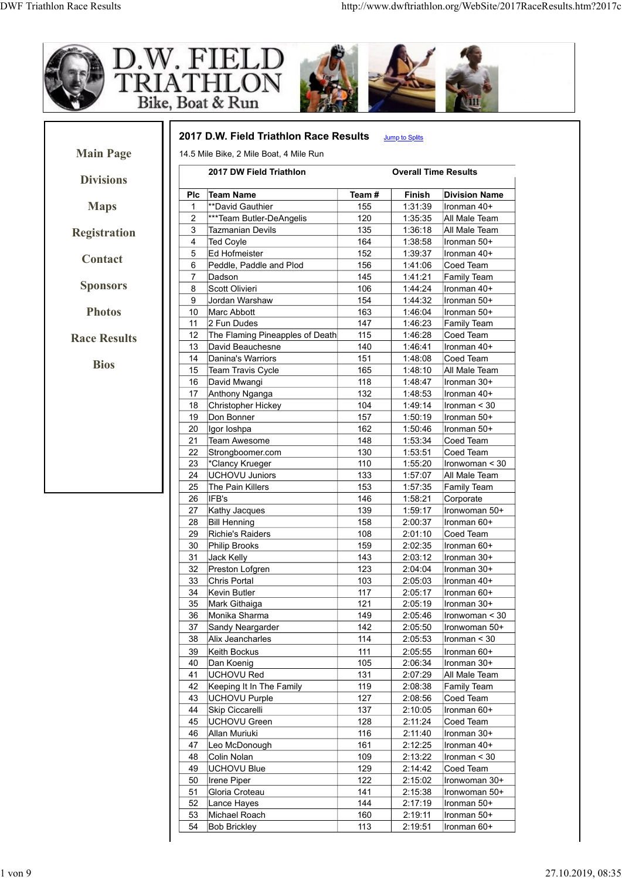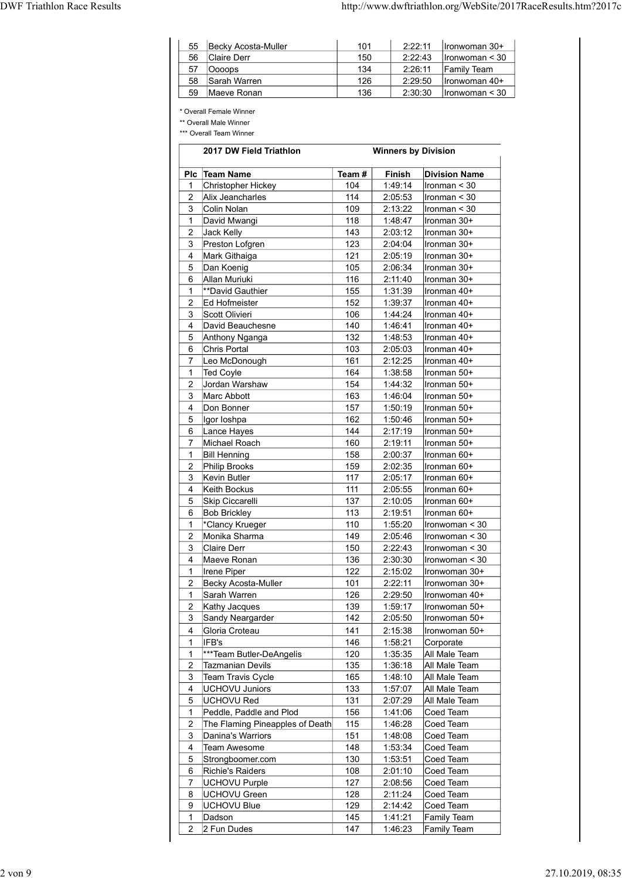| <b>DWF Triathlon Race Results</b><br>http://www.dwftriathlon.org/WebSite/2017RaceResults.htm?2017c |
|----------------------------------------------------------------------------------------------------|
|                                                                                                    |
| Becky Acosta-Muller<br>101<br>2:22:11<br>55<br>Ironwoman 30+                                       |
| Claire Derr<br>2:22:43<br>56<br>150<br>Ironwoman $\leq 30$                                         |
| Oooops<br>57<br>134<br>2:26:11<br>Family Team                                                      |
| Sarah Warren<br>126<br>2:29:50<br>58<br>Ironwoman 40+                                              |
| 136<br>2:30:30<br>59<br>Maeve Ronan<br>Ironwoman < 30                                              |
| * Overall Female Winner                                                                            |
| ** Overall Male Winner                                                                             |
|                                                                                                    |
| *** Overall Team Winner                                                                            |

| 55                             | Becky Acosta-Muller                                                                                     | 101        | 2:22:11                    | Ironwoman 30+                    |
|--------------------------------|---------------------------------------------------------------------------------------------------------|------------|----------------------------|----------------------------------|
| 56                             | Claire Derr                                                                                             | 150        | 2:22:43                    | Ironwoman < 30                   |
| 57                             | Oooops                                                                                                  | 134        | 2:26:11                    | Family Team                      |
| 58                             | Sarah Warren                                                                                            | 126        | 2:29:50                    | Ironwoman 40+                    |
| 59                             | Maeve Ronan                                                                                             | 136        | 2:30:30                    | Ironwoman < 30                   |
|                                | * Overall Female Winner<br>** Overall Male Winner<br>*** Overall Team Winner<br>2017 DW Field Triathlon |            | <b>Winners by Division</b> |                                  |
|                                |                                                                                                         |            |                            |                                  |
|                                | Plc Team Name                                                                                           | Team#      | Finish                     | <b>Division Name</b>             |
| 1<br>2                         | <b>Christopher Hickey</b><br>Alix Jeancharles                                                           | 104<br>114 | 1:49:14<br>2:05:53         | Ironman < 30<br>Ironman < 30     |
| 3                              | Colin Nolan                                                                                             | 109        | 2:13:22                    | Ironman < 30                     |
| $\mathbf 1$                    | David Mwangi                                                                                            | 118        | 1:48:47                    | Ironman 30+                      |
| $\overline{2}$                 | Jack Kelly                                                                                              | 143        | 2:03:12                    | Ironman 30+                      |
| 3                              | Preston Lofgren                                                                                         | 123        | 2:04:04                    | Ironman 30+                      |
| 4<br>5                         | Mark Githaiga<br>Dan Koenig                                                                             | 121<br>105 | 2:05:19<br>2:06:34         | Ironman 30+<br>Ironman 30+       |
| 6                              | Allan Muriuki                                                                                           | 116        | 2:11:40                    | Ironman 30+                      |
| $\mathbf{1}$                   | **David Gauthier                                                                                        | 155        | 1:31:39                    | Ironman 40+                      |
| 2                              | Ed Hofmeister                                                                                           | 152        | 1:39:37                    | Ironman 40+                      |
| 3                              | Scott Olivieri                                                                                          | 106        | 1:44:24                    | Ironman 40+                      |
| 4<br>5                         | David Beauchesne<br>Anthony Nganga                                                                      | 140<br>132 | 1:46:41<br>1:48:53         | Ironman 40+<br>Ironman 40+       |
| 6                              | Chris Portal                                                                                            | 103        | 2:05:03                    | Ironman 40+                      |
| $\overline{7}$                 | Leo McDonough                                                                                           | 161        | 2:12:25                    | Ironman 40+                      |
| 1                              | Ted Coyle                                                                                               | 164        | 1:38:58                    | Ironman 50+                      |
| 2                              | Jordan Warshaw                                                                                          | 154        | 1:44:32                    | Ironman 50+                      |
| 3<br>4                         | Marc Abbott<br>Don Bonner                                                                               | 163<br>157 | 1:46:04<br>1:50:19         | Ironman 50+<br>Ironman 50+       |
| 5                              | Igor Ioshpa                                                                                             | 162        | 1:50:46                    | Ironman 50+                      |
| 6                              | Lance Hayes                                                                                             | 144        | 2:17:19                    | Ironman 50+                      |
| $\overline{7}$                 | Michael Roach                                                                                           | 160        | 2:19:11                    | Ironman 50+                      |
| $\mathbf{1}$<br>2              | <b>Bill Henning</b><br>Philip Brooks                                                                    | 158<br>159 | 2:00:37<br>2:02:35         | Ironman 60+<br>Ironman 60+       |
| 3                              | Kevin Butler                                                                                            | 117        | 2:05:17                    | Ironman 60+                      |
| 4                              | Keith Bockus                                                                                            | 111        | 2:05:55                    | Ironman 60+                      |
| 5                              | Skip Ciccarelli                                                                                         | 137        | 2:10:05                    | Ironman 60+                      |
| 6                              | <b>Bob Brickley</b>                                                                                     | 113        | 2:19:51                    | Ironman 60+                      |
| $\mathbf{1}$<br>$\overline{2}$ | *Clancy Krueger<br>Monika Sharma                                                                        | 110<br>149 | 1:55:20<br>2:05:46         | Ironwoman < 30<br>Ironwoman < 30 |
| 3                              | Claire Derr                                                                                             | 150        | 2:22:43                    | Ironwoman < 30                   |
| 4                              | Maeve Ronan                                                                                             | 136        | 2:30:30                    | Ironwoman < 30                   |
| $\mathbf{1}$                   | Irene Piper                                                                                             | 122        | 2:15:02                    | Ironwoman 30+                    |
| $\overline{2}$                 | Becky Acosta-Muller                                                                                     | 101        | 2:22:11                    | Ironwoman 30+                    |
| 1                              | Sarah Warren                                                                                            | 126        | 2:29:50                    | Ironwoman 40+                    |
| 2<br>3                         | Kathy Jacques<br>Sandy Neargarder                                                                       | 139<br>142 | 1:59:17<br>2:05:50         | Ironwoman 50+<br>Ironwoman 50+   |
| 4                              | Gloria Croteau                                                                                          | 141        | 2:15:38                    | Ironwoman 50+                    |
| 1                              | IFB's                                                                                                   | 146        | 1:58:21                    | Corporate                        |
| $\mathbf{1}$                   | ***Team Butler-DeAngelis                                                                                | 120        | 1:35:35                    | All Male Team                    |
| $\overline{c}$                 | <b>Tazmanian Devils</b>                                                                                 | 135        | 1:36:18                    | All Male Team                    |
| 3<br>4                         | Team Travis Cycle<br><b>UCHOVU Juniors</b>                                                              | 165<br>133 | 1:48:10<br>1:57:07         | All Male Team<br>All Male Team   |
| 5                              | <b>UCHOVU Red</b>                                                                                       | 131        | 2:07:29                    | All Male Team                    |
| 1                              | Peddle, Paddle and Plod                                                                                 | 156        | 1:41:06                    | Coed Team                        |
| $\overline{2}$<br>3            | The Flaming Pineapples of Death<br>Danina's Warriors                                                    | 115<br>151 | 1:46:28<br>1:48:08         | Coed Team<br>Coed Team           |
| 4                              | Team Awesome                                                                                            | 148        | 1:53:34                    | Coed Team                        |
| 5                              | Strongboomer.com                                                                                        | 130        | 1:53:51                    | Coed Team                        |
| 6                              | Richie's Raiders                                                                                        | 108        | 2:01:10                    | Coed Team                        |
| $\overline{7}$<br>8            | <b>UCHOVU Purple</b><br>UCHOVU Green                                                                    | 127<br>128 | 2:08:56<br>2:11:24         | Coed Team<br>Coed Team           |
| 9                              | <b>UCHOVU Blue</b>                                                                                      | 129        | 2:14:42                    | Coed Team                        |
| $\mathbf{1}$                   | Dadson                                                                                                  | 145        | 1:41:21                    | <b>Family Team</b>               |
| $\overline{2}$                 | 2 Fun Dudes                                                                                             | 147        | 1:46:23                    | Family Team                      |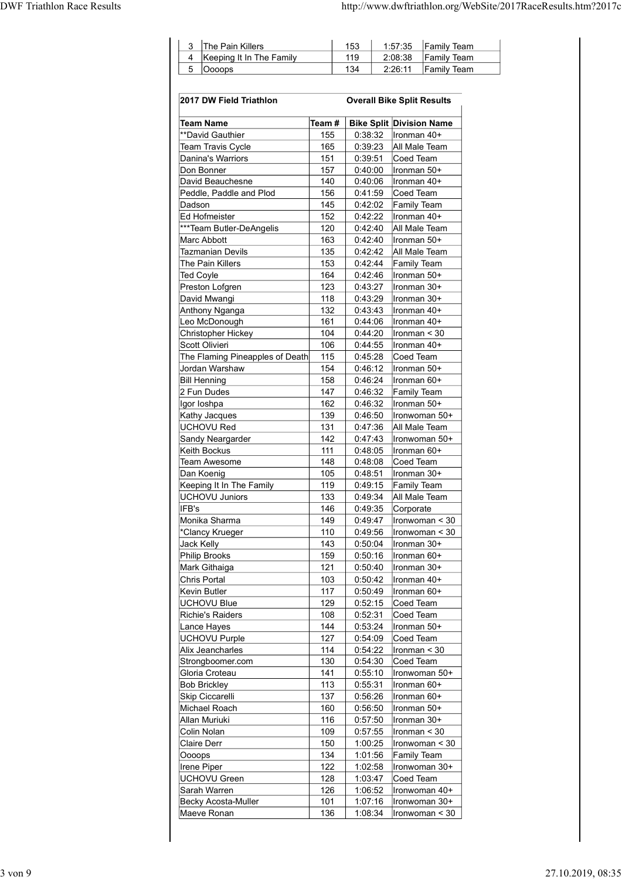| <b>DWF Triathlon Race Results</b> |                                                                     | http://www.dwftriathlon.org/WebSite/2017RaceResults.htm?2017c |  |
|-----------------------------------|---------------------------------------------------------------------|---------------------------------------------------------------|--|
|                                   |                                                                     |                                                               |  |
|                                   | The Pain Killers<br>$153$<br>$\mathbf{3}$                           | 1:57:35<br><b>Family Team</b>                                 |  |
|                                   | Keeping It In The Family<br>119<br>4<br>$\sqrt{5}$<br>134<br>Oooops | Family Team<br>2:08:38<br>2:26:11<br><b>Family Team</b>       |  |
|                                   |                                                                     |                                                               |  |
|                                   | 2017 DW Field Triathlon                                             | <b>Overall Bike Split Results</b>                             |  |
|                                   | $\vert$ Team # $\vert$<br><b>Team Name</b>                          | <b>Bike Split Division Name</b>                               |  |

| The Pain Killers<br>3<br>Keeping It In The Family<br>4<br>5<br>Oooops |            |                    | Family Team                                                    |
|-----------------------------------------------------------------------|------------|--------------------|----------------------------------------------------------------|
|                                                                       |            | 153                | 1:57:35                                                        |
|                                                                       |            | 119<br>134         | 2:08:38<br><b>Family Team</b><br>2:26:11<br><b>Family Team</b> |
|                                                                       |            |                    |                                                                |
| 2017 DW Field Triathlon                                               |            |                    | <b>Overall Bike Split Results</b>                              |
| Team Name                                                             | Team #     |                    | <b>Bike Split Division Name</b>                                |
| **David Gauthier<br>Team Travis Cycle                                 | 155<br>165 | 0:38:32<br>0:39:23 | Ironman 40+<br>All Male Team                                   |
| Danina's Warriors                                                     | 151        | 0:39:51            | Coed Team                                                      |
| Don Bonner<br>David Beauchesne                                        | 157<br>140 | 0:40:00<br>0:40:06 | Ironman 50+<br>Ironman 40+                                     |
| Peddle, Paddle and Plod<br>Dadson                                     | 156        | 0:41:59            | Coed Team                                                      |
| ∣Ed Hofmeister                                                        | 145<br>152 | 0:42:02<br>0:42:22 | <b>Family Team</b><br>Ironman 40+                              |
| ***Team Butler-DeAngelis<br>Marc Abbott                               | 120<br>163 | 0:42:40<br>0:42:40 | All Male Team<br>Ironman 50+                                   |
| Tazmanian Devils                                                      | 135        | 0:42:42            | All Male Team                                                  |
| The Pain Killers<br><b>Ted Coyle</b>                                  | 153<br>164 | 0:42:44<br>0:42:46 | Family Team<br>Ironman 50+                                     |
| Preston Lofgren                                                       | 123        | 0:43:27            | Ironman 30+                                                    |
| David Mwangi<br>Anthony Nganga                                        | 118<br>132 | 0:43:29<br>0:43:43 | Ironman 30+<br>Ironman 40+                                     |
| Leo McDonough                                                         | 161<br>104 | 0:44:06<br>0:44:20 | Ironman 40+<br>Ironman < 30                                    |
| Christopher Hickey<br>Scott Olivieri                                  | 106        | 0:44:55            | Ironman 40+                                                    |
| The Flaming Pineapples of Death<br>Jordan Warshaw                     | 115<br>154 | 0:45:28<br>0:46:12 | Coed Team<br>Ironman 50+                                       |
| <b>Bill Henning</b>                                                   | 158        | 0:46:24            | Ironman 60+                                                    |
| 2 Fun Dudes<br>Igor Ioshpa                                            | 147<br>162 | 0:46:32<br>0:46:32 | Family Team<br>Ironman 50+                                     |
| Kathy Jacques                                                         | 139        | 0:46:50            | Ironwoman 50+                                                  |
| <b>UCHOVU Red</b><br>Sandy Neargarder                                 | 131<br>142 | 0:47:36<br>0:47:43 | All Male Team<br>Ironwoman 50+                                 |
| Keith Bockus                                                          | 111        | 0:48:05            | Ironman 60+                                                    |
| Team Awesome<br>Dan Koenig                                            | 148<br>105 | 0:48:08<br>0:48:51 | Coed Team<br>Ironman 30+                                       |
| Keeping It In The Family                                              | 119        | 0:49:15            | Family Team                                                    |
| <b>UCHOVU Juniors</b><br>IFB's                                        | 133<br>146 | 0:49:34<br>0:49:35 | All Male Team<br>Corporate                                     |
| Monika Sharma                                                         | 149<br>110 | 0:49:47<br>0:49:56 | Ironwoman < 30<br>Ironwoman < 30                               |
| *Clancy Krueger<br>Jack Kelly                                         | 143        | 0:50:04            | Ironman 30+                                                    |
| Philip Brooks<br>Mark Githaiga                                        | 159<br>121 | 0:50:16<br>0:50:40 | Ironman 60+<br>Ironman 30+                                     |
| Chris Portal                                                          | 103        | 0:50:42            | Ironman 40+                                                    |
| Kevin Butler<br><b>UCHOVU Blue</b>                                    | 117<br>129 | 0:50:49<br>0:52:15 | Ironman 60+<br>Coed Team                                       |
| <b>Richie's Raiders</b>                                               | 108        | 0:52:31            | Coed Team                                                      |
| Lance Hayes<br><b>UCHOVU Purple</b>                                   | 144<br>127 | 0:53:24<br>0:54:09 | Ironman 50+<br>Coed Team                                       |
| Alix Jeancharles                                                      | 114        | 0:54:22            | Ironman < 30                                                   |
| Strongboomer.com<br>Gloria Croteau                                    | 130<br>141 | 0:54:30<br>0:55:10 | Coed Team<br>Ironwoman 50+                                     |
| <b>Bob Brickley</b>                                                   | 113<br>137 | 0:55:31<br>0:56:26 | Ironman 60+<br>Ironman 60+                                     |
| Skip Ciccarelli<br>Michael Roach                                      | 160        | 0:56:50            | Ironman 50+                                                    |
| Allan Muriuki<br>Colin Nolan                                          | 116<br>109 | 0:57:50<br>0:57:55 | Ironman 30+<br>Ironman < 30                                    |
| <b>Claire Derr</b>                                                    | 150        | 1:00:25            | Ironwoman < 30                                                 |
| Oooops<br>Irene Piper                                                 | 134<br>122 | 1:01:56<br>1:02:58 | Family Team<br>Ironwoman 30+                                   |
| UCHOVU Green                                                          | 128        | 1:03:47            | Coed Team                                                      |
| Sarah Warren<br>Becky Acosta-Muller                                   | 126<br>101 | 1:06:52<br>1:07:16 | Ironwoman 40+<br>Ironwoman 30+                                 |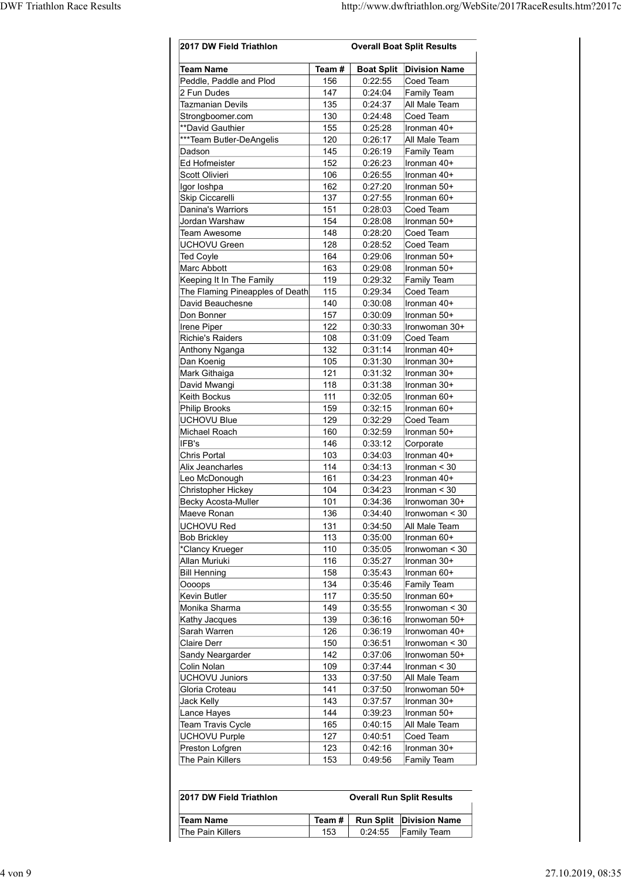| <b>Boat Split Division Name</b><br><b>Team Name</b><br>Team#<br>Peddle, Paddle and Plod<br>156<br>0:22:55<br>Coed Team<br>147<br>0:24:04<br>Family Team<br>2 Fun Dudes<br>135<br>All Male Team<br>Tazmanian Devils<br>0:24:37<br>130<br>0:24:48<br>Coed Team<br>Strongboomer.com<br>155<br>0:25:28<br>Ironman 40+<br>**David Gauthier<br>***Team Butler-DeAngelis<br>120<br>0:26:17<br>All Male Team<br>0:26:19<br>145<br>Dadson<br>Family Team<br>Ed Hofmeister<br>152<br>0:26:23<br>Ironman 40+<br>106<br>0:26:55<br>Ironman 40+<br>Scott Olivieri<br>162<br>0:27:20<br>Ironman 50+<br>Igor Ioshpa<br>Skip Ciccarelli<br>137<br>0:27:55<br>Ironman 60+<br>Danina's Warriors<br>151<br>0:28:03<br>Coed Team<br>0:28:08<br>Jordan Warshaw<br>154<br>Ironman 50+<br>148<br>0:28:20<br>Coed Team<br>Team Awesome<br>UCHOVU Green<br>128<br>0:28:52<br>Coed Team<br>164<br>0:29:06<br><b>Ted Coyle</b><br>Ironman 50+<br>Marc Abbott<br>163<br>0:29:08<br>Ironman 50+<br>Keeping It In The Family<br>119<br>0:29:32<br>Family Team<br>The Flaming Pineapples of Death<br>115<br>0:29:34<br>Coed Team<br>140<br>David Beauchesne<br>0:30:08<br>Ironman 40+<br>Don Bonner<br>157<br>0:30:09<br>Ironman 50+<br>Irene Piper<br>122<br>0:30:33<br>Ironwoman 30+<br>Richie's Raiders<br>108<br>0:31:09<br>Coed Team<br>132<br>0:31:14<br>Ironman 40+<br>Anthony Nganga<br>105<br>0:31:30<br>Ironman 30+<br>Dan Koenig<br>121<br>Mark Githaiga<br>0:31:32<br>Ironman 30+<br>118<br>0:31:38<br>David Mwangi<br>Ironman 30+<br>Keith Bockus<br>111<br>0:32:05<br>Ironman 60+<br>159<br>0:32:15<br>Ironman 60+<br>Philip Brooks<br>0:32:29<br><b>UCHOVU Blue</b><br>129<br>Coed Team<br>Michael Roach<br>160<br>0:32:59<br>Ironman 50+<br>IFB's<br>146<br>0:33:12<br>Corporate<br>Chris Portal<br>103<br>0:34:03<br>Ironman 40+<br>Alix Jeancharles<br>114<br>0:34:13<br>$l$ ronman < 30<br>0:34:23<br>Leo McDonough<br>161<br>Ironman 40+<br>104<br>0:34:23<br>Ironman $<$ 30<br>Christopher Hickey<br>101<br>0:34:36<br>Ironwoman 30+<br>Becky Acosta-Muller<br>Maeve Ronan<br>136<br>0:34:40<br>Ironwoman < 30<br>UCHOVU Red<br>131<br>0:34:50<br>All Male Team<br>113<br><b>Bob Brickley</b><br>0:35:00<br>Ironman 60+<br>*Clancy Krueger<br>110<br>0:35:05<br>Ironwoman < 30<br>116<br>0:35:27<br>Allan Muriuki<br>Ironman 30+<br>158<br>0:35:43<br><b>Bill Henning</b><br>Ironman 60+<br>134<br>0:35:46<br>Oooops<br>Family Team<br>Kevin Butler<br>117<br>0:35:50<br>Ironman 60+<br>149<br>0:35:55<br>Monika Sharma<br>Ironwoman < 30<br>139<br>0:36:16<br>Ironwoman 50+<br>Kathy Jacques<br>Sarah Warren<br>126<br>0:36:19<br>Ironwoman 40+<br>150<br>0:36:51<br><b>Claire Derr</b><br>Ironwoman < 30<br>142<br>Sandy Neargarder<br>0:37:06<br>Ironwoman 50+<br>109<br>0:37:44<br>Colin Nolan<br>$l$ ronman < 30<br><b>UCHOVU Juniors</b><br>0:37:50<br>All Male Team<br>133<br>Gloria Croteau<br>141<br>0:37:50<br>Ironwoman 50+<br><b>Jack Kelly</b><br>143<br>0:37:57<br>Ironman 30+<br>144<br>0:39:23<br>Ironman 50+<br>Lance Hayes<br>Team Travis Cycle<br>All Male Team<br>165<br>0:40:15<br>Coed Team<br><b>UCHOVU Purple</b><br>127<br>0:40:51<br>Preston Lofgren<br>123<br>0:42:16<br>Ironman 30+<br>The Pain Killers<br>153<br>Family Team<br>0:49:56<br>2017 DW Field Triathlon<br><b>Overall Run Split Results</b> | 2017 DW Field Triathlon |  | <b>Overall Boat Split Results</b> |
|---------------------------------------------------------------------------------------------------------------------------------------------------------------------------------------------------------------------------------------------------------------------------------------------------------------------------------------------------------------------------------------------------------------------------------------------------------------------------------------------------------------------------------------------------------------------------------------------------------------------------------------------------------------------------------------------------------------------------------------------------------------------------------------------------------------------------------------------------------------------------------------------------------------------------------------------------------------------------------------------------------------------------------------------------------------------------------------------------------------------------------------------------------------------------------------------------------------------------------------------------------------------------------------------------------------------------------------------------------------------------------------------------------------------------------------------------------------------------------------------------------------------------------------------------------------------------------------------------------------------------------------------------------------------------------------------------------------------------------------------------------------------------------------------------------------------------------------------------------------------------------------------------------------------------------------------------------------------------------------------------------------------------------------------------------------------------------------------------------------------------------------------------------------------------------------------------------------------------------------------------------------------------------------------------------------------------------------------------------------------------------------------------------------------------------------------------------------------------------------------------------------------------------------------------------------------------------------------------------------------------------------------------------------------------------------------------------------------------------------------------------------------------------------------------------------------------------------------------------------------------------------------------------------------------------------------------------------------------------------------------------------------------------------------------------------------------------------------------------------------------------------------------------------------------------------------------------------------------------------------------------------------------------------------------------------------------|-------------------------|--|-----------------------------------|
|                                                                                                                                                                                                                                                                                                                                                                                                                                                                                                                                                                                                                                                                                                                                                                                                                                                                                                                                                                                                                                                                                                                                                                                                                                                                                                                                                                                                                                                                                                                                                                                                                                                                                                                                                                                                                                                                                                                                                                                                                                                                                                                                                                                                                                                                                                                                                                                                                                                                                                                                                                                                                                                                                                                                                                                                                                                                                                                                                                                                                                                                                                                                                                                                                                                                                                                           |                         |  |                                   |
|                                                                                                                                                                                                                                                                                                                                                                                                                                                                                                                                                                                                                                                                                                                                                                                                                                                                                                                                                                                                                                                                                                                                                                                                                                                                                                                                                                                                                                                                                                                                                                                                                                                                                                                                                                                                                                                                                                                                                                                                                                                                                                                                                                                                                                                                                                                                                                                                                                                                                                                                                                                                                                                                                                                                                                                                                                                                                                                                                                                                                                                                                                                                                                                                                                                                                                                           |                         |  |                                   |
|                                                                                                                                                                                                                                                                                                                                                                                                                                                                                                                                                                                                                                                                                                                                                                                                                                                                                                                                                                                                                                                                                                                                                                                                                                                                                                                                                                                                                                                                                                                                                                                                                                                                                                                                                                                                                                                                                                                                                                                                                                                                                                                                                                                                                                                                                                                                                                                                                                                                                                                                                                                                                                                                                                                                                                                                                                                                                                                                                                                                                                                                                                                                                                                                                                                                                                                           |                         |  |                                   |
|                                                                                                                                                                                                                                                                                                                                                                                                                                                                                                                                                                                                                                                                                                                                                                                                                                                                                                                                                                                                                                                                                                                                                                                                                                                                                                                                                                                                                                                                                                                                                                                                                                                                                                                                                                                                                                                                                                                                                                                                                                                                                                                                                                                                                                                                                                                                                                                                                                                                                                                                                                                                                                                                                                                                                                                                                                                                                                                                                                                                                                                                                                                                                                                                                                                                                                                           |                         |  |                                   |
|                                                                                                                                                                                                                                                                                                                                                                                                                                                                                                                                                                                                                                                                                                                                                                                                                                                                                                                                                                                                                                                                                                                                                                                                                                                                                                                                                                                                                                                                                                                                                                                                                                                                                                                                                                                                                                                                                                                                                                                                                                                                                                                                                                                                                                                                                                                                                                                                                                                                                                                                                                                                                                                                                                                                                                                                                                                                                                                                                                                                                                                                                                                                                                                                                                                                                                                           |                         |  |                                   |
|                                                                                                                                                                                                                                                                                                                                                                                                                                                                                                                                                                                                                                                                                                                                                                                                                                                                                                                                                                                                                                                                                                                                                                                                                                                                                                                                                                                                                                                                                                                                                                                                                                                                                                                                                                                                                                                                                                                                                                                                                                                                                                                                                                                                                                                                                                                                                                                                                                                                                                                                                                                                                                                                                                                                                                                                                                                                                                                                                                                                                                                                                                                                                                                                                                                                                                                           |                         |  |                                   |
|                                                                                                                                                                                                                                                                                                                                                                                                                                                                                                                                                                                                                                                                                                                                                                                                                                                                                                                                                                                                                                                                                                                                                                                                                                                                                                                                                                                                                                                                                                                                                                                                                                                                                                                                                                                                                                                                                                                                                                                                                                                                                                                                                                                                                                                                                                                                                                                                                                                                                                                                                                                                                                                                                                                                                                                                                                                                                                                                                                                                                                                                                                                                                                                                                                                                                                                           |                         |  |                                   |
|                                                                                                                                                                                                                                                                                                                                                                                                                                                                                                                                                                                                                                                                                                                                                                                                                                                                                                                                                                                                                                                                                                                                                                                                                                                                                                                                                                                                                                                                                                                                                                                                                                                                                                                                                                                                                                                                                                                                                                                                                                                                                                                                                                                                                                                                                                                                                                                                                                                                                                                                                                                                                                                                                                                                                                                                                                                                                                                                                                                                                                                                                                                                                                                                                                                                                                                           |                         |  |                                   |
|                                                                                                                                                                                                                                                                                                                                                                                                                                                                                                                                                                                                                                                                                                                                                                                                                                                                                                                                                                                                                                                                                                                                                                                                                                                                                                                                                                                                                                                                                                                                                                                                                                                                                                                                                                                                                                                                                                                                                                                                                                                                                                                                                                                                                                                                                                                                                                                                                                                                                                                                                                                                                                                                                                                                                                                                                                                                                                                                                                                                                                                                                                                                                                                                                                                                                                                           |                         |  |                                   |
|                                                                                                                                                                                                                                                                                                                                                                                                                                                                                                                                                                                                                                                                                                                                                                                                                                                                                                                                                                                                                                                                                                                                                                                                                                                                                                                                                                                                                                                                                                                                                                                                                                                                                                                                                                                                                                                                                                                                                                                                                                                                                                                                                                                                                                                                                                                                                                                                                                                                                                                                                                                                                                                                                                                                                                                                                                                                                                                                                                                                                                                                                                                                                                                                                                                                                                                           |                         |  |                                   |
|                                                                                                                                                                                                                                                                                                                                                                                                                                                                                                                                                                                                                                                                                                                                                                                                                                                                                                                                                                                                                                                                                                                                                                                                                                                                                                                                                                                                                                                                                                                                                                                                                                                                                                                                                                                                                                                                                                                                                                                                                                                                                                                                                                                                                                                                                                                                                                                                                                                                                                                                                                                                                                                                                                                                                                                                                                                                                                                                                                                                                                                                                                                                                                                                                                                                                                                           |                         |  |                                   |
|                                                                                                                                                                                                                                                                                                                                                                                                                                                                                                                                                                                                                                                                                                                                                                                                                                                                                                                                                                                                                                                                                                                                                                                                                                                                                                                                                                                                                                                                                                                                                                                                                                                                                                                                                                                                                                                                                                                                                                                                                                                                                                                                                                                                                                                                                                                                                                                                                                                                                                                                                                                                                                                                                                                                                                                                                                                                                                                                                                                                                                                                                                                                                                                                                                                                                                                           |                         |  |                                   |
|                                                                                                                                                                                                                                                                                                                                                                                                                                                                                                                                                                                                                                                                                                                                                                                                                                                                                                                                                                                                                                                                                                                                                                                                                                                                                                                                                                                                                                                                                                                                                                                                                                                                                                                                                                                                                                                                                                                                                                                                                                                                                                                                                                                                                                                                                                                                                                                                                                                                                                                                                                                                                                                                                                                                                                                                                                                                                                                                                                                                                                                                                                                                                                                                                                                                                                                           |                         |  |                                   |
|                                                                                                                                                                                                                                                                                                                                                                                                                                                                                                                                                                                                                                                                                                                                                                                                                                                                                                                                                                                                                                                                                                                                                                                                                                                                                                                                                                                                                                                                                                                                                                                                                                                                                                                                                                                                                                                                                                                                                                                                                                                                                                                                                                                                                                                                                                                                                                                                                                                                                                                                                                                                                                                                                                                                                                                                                                                                                                                                                                                                                                                                                                                                                                                                                                                                                                                           |                         |  |                                   |
|                                                                                                                                                                                                                                                                                                                                                                                                                                                                                                                                                                                                                                                                                                                                                                                                                                                                                                                                                                                                                                                                                                                                                                                                                                                                                                                                                                                                                                                                                                                                                                                                                                                                                                                                                                                                                                                                                                                                                                                                                                                                                                                                                                                                                                                                                                                                                                                                                                                                                                                                                                                                                                                                                                                                                                                                                                                                                                                                                                                                                                                                                                                                                                                                                                                                                                                           |                         |  |                                   |
|                                                                                                                                                                                                                                                                                                                                                                                                                                                                                                                                                                                                                                                                                                                                                                                                                                                                                                                                                                                                                                                                                                                                                                                                                                                                                                                                                                                                                                                                                                                                                                                                                                                                                                                                                                                                                                                                                                                                                                                                                                                                                                                                                                                                                                                                                                                                                                                                                                                                                                                                                                                                                                                                                                                                                                                                                                                                                                                                                                                                                                                                                                                                                                                                                                                                                                                           |                         |  |                                   |
|                                                                                                                                                                                                                                                                                                                                                                                                                                                                                                                                                                                                                                                                                                                                                                                                                                                                                                                                                                                                                                                                                                                                                                                                                                                                                                                                                                                                                                                                                                                                                                                                                                                                                                                                                                                                                                                                                                                                                                                                                                                                                                                                                                                                                                                                                                                                                                                                                                                                                                                                                                                                                                                                                                                                                                                                                                                                                                                                                                                                                                                                                                                                                                                                                                                                                                                           |                         |  |                                   |
|                                                                                                                                                                                                                                                                                                                                                                                                                                                                                                                                                                                                                                                                                                                                                                                                                                                                                                                                                                                                                                                                                                                                                                                                                                                                                                                                                                                                                                                                                                                                                                                                                                                                                                                                                                                                                                                                                                                                                                                                                                                                                                                                                                                                                                                                                                                                                                                                                                                                                                                                                                                                                                                                                                                                                                                                                                                                                                                                                                                                                                                                                                                                                                                                                                                                                                                           |                         |  |                                   |
|                                                                                                                                                                                                                                                                                                                                                                                                                                                                                                                                                                                                                                                                                                                                                                                                                                                                                                                                                                                                                                                                                                                                                                                                                                                                                                                                                                                                                                                                                                                                                                                                                                                                                                                                                                                                                                                                                                                                                                                                                                                                                                                                                                                                                                                                                                                                                                                                                                                                                                                                                                                                                                                                                                                                                                                                                                                                                                                                                                                                                                                                                                                                                                                                                                                                                                                           |                         |  |                                   |
|                                                                                                                                                                                                                                                                                                                                                                                                                                                                                                                                                                                                                                                                                                                                                                                                                                                                                                                                                                                                                                                                                                                                                                                                                                                                                                                                                                                                                                                                                                                                                                                                                                                                                                                                                                                                                                                                                                                                                                                                                                                                                                                                                                                                                                                                                                                                                                                                                                                                                                                                                                                                                                                                                                                                                                                                                                                                                                                                                                                                                                                                                                                                                                                                                                                                                                                           |                         |  |                                   |
|                                                                                                                                                                                                                                                                                                                                                                                                                                                                                                                                                                                                                                                                                                                                                                                                                                                                                                                                                                                                                                                                                                                                                                                                                                                                                                                                                                                                                                                                                                                                                                                                                                                                                                                                                                                                                                                                                                                                                                                                                                                                                                                                                                                                                                                                                                                                                                                                                                                                                                                                                                                                                                                                                                                                                                                                                                                                                                                                                                                                                                                                                                                                                                                                                                                                                                                           |                         |  |                                   |
|                                                                                                                                                                                                                                                                                                                                                                                                                                                                                                                                                                                                                                                                                                                                                                                                                                                                                                                                                                                                                                                                                                                                                                                                                                                                                                                                                                                                                                                                                                                                                                                                                                                                                                                                                                                                                                                                                                                                                                                                                                                                                                                                                                                                                                                                                                                                                                                                                                                                                                                                                                                                                                                                                                                                                                                                                                                                                                                                                                                                                                                                                                                                                                                                                                                                                                                           |                         |  |                                   |
|                                                                                                                                                                                                                                                                                                                                                                                                                                                                                                                                                                                                                                                                                                                                                                                                                                                                                                                                                                                                                                                                                                                                                                                                                                                                                                                                                                                                                                                                                                                                                                                                                                                                                                                                                                                                                                                                                                                                                                                                                                                                                                                                                                                                                                                                                                                                                                                                                                                                                                                                                                                                                                                                                                                                                                                                                                                                                                                                                                                                                                                                                                                                                                                                                                                                                                                           |                         |  |                                   |
|                                                                                                                                                                                                                                                                                                                                                                                                                                                                                                                                                                                                                                                                                                                                                                                                                                                                                                                                                                                                                                                                                                                                                                                                                                                                                                                                                                                                                                                                                                                                                                                                                                                                                                                                                                                                                                                                                                                                                                                                                                                                                                                                                                                                                                                                                                                                                                                                                                                                                                                                                                                                                                                                                                                                                                                                                                                                                                                                                                                                                                                                                                                                                                                                                                                                                                                           |                         |  |                                   |
|                                                                                                                                                                                                                                                                                                                                                                                                                                                                                                                                                                                                                                                                                                                                                                                                                                                                                                                                                                                                                                                                                                                                                                                                                                                                                                                                                                                                                                                                                                                                                                                                                                                                                                                                                                                                                                                                                                                                                                                                                                                                                                                                                                                                                                                                                                                                                                                                                                                                                                                                                                                                                                                                                                                                                                                                                                                                                                                                                                                                                                                                                                                                                                                                                                                                                                                           |                         |  |                                   |
|                                                                                                                                                                                                                                                                                                                                                                                                                                                                                                                                                                                                                                                                                                                                                                                                                                                                                                                                                                                                                                                                                                                                                                                                                                                                                                                                                                                                                                                                                                                                                                                                                                                                                                                                                                                                                                                                                                                                                                                                                                                                                                                                                                                                                                                                                                                                                                                                                                                                                                                                                                                                                                                                                                                                                                                                                                                                                                                                                                                                                                                                                                                                                                                                                                                                                                                           |                         |  |                                   |
|                                                                                                                                                                                                                                                                                                                                                                                                                                                                                                                                                                                                                                                                                                                                                                                                                                                                                                                                                                                                                                                                                                                                                                                                                                                                                                                                                                                                                                                                                                                                                                                                                                                                                                                                                                                                                                                                                                                                                                                                                                                                                                                                                                                                                                                                                                                                                                                                                                                                                                                                                                                                                                                                                                                                                                                                                                                                                                                                                                                                                                                                                                                                                                                                                                                                                                                           |                         |  |                                   |
|                                                                                                                                                                                                                                                                                                                                                                                                                                                                                                                                                                                                                                                                                                                                                                                                                                                                                                                                                                                                                                                                                                                                                                                                                                                                                                                                                                                                                                                                                                                                                                                                                                                                                                                                                                                                                                                                                                                                                                                                                                                                                                                                                                                                                                                                                                                                                                                                                                                                                                                                                                                                                                                                                                                                                                                                                                                                                                                                                                                                                                                                                                                                                                                                                                                                                                                           |                         |  |                                   |
|                                                                                                                                                                                                                                                                                                                                                                                                                                                                                                                                                                                                                                                                                                                                                                                                                                                                                                                                                                                                                                                                                                                                                                                                                                                                                                                                                                                                                                                                                                                                                                                                                                                                                                                                                                                                                                                                                                                                                                                                                                                                                                                                                                                                                                                                                                                                                                                                                                                                                                                                                                                                                                                                                                                                                                                                                                                                                                                                                                                                                                                                                                                                                                                                                                                                                                                           |                         |  |                                   |
|                                                                                                                                                                                                                                                                                                                                                                                                                                                                                                                                                                                                                                                                                                                                                                                                                                                                                                                                                                                                                                                                                                                                                                                                                                                                                                                                                                                                                                                                                                                                                                                                                                                                                                                                                                                                                                                                                                                                                                                                                                                                                                                                                                                                                                                                                                                                                                                                                                                                                                                                                                                                                                                                                                                                                                                                                                                                                                                                                                                                                                                                                                                                                                                                                                                                                                                           |                         |  |                                   |
|                                                                                                                                                                                                                                                                                                                                                                                                                                                                                                                                                                                                                                                                                                                                                                                                                                                                                                                                                                                                                                                                                                                                                                                                                                                                                                                                                                                                                                                                                                                                                                                                                                                                                                                                                                                                                                                                                                                                                                                                                                                                                                                                                                                                                                                                                                                                                                                                                                                                                                                                                                                                                                                                                                                                                                                                                                                                                                                                                                                                                                                                                                                                                                                                                                                                                                                           |                         |  |                                   |
|                                                                                                                                                                                                                                                                                                                                                                                                                                                                                                                                                                                                                                                                                                                                                                                                                                                                                                                                                                                                                                                                                                                                                                                                                                                                                                                                                                                                                                                                                                                                                                                                                                                                                                                                                                                                                                                                                                                                                                                                                                                                                                                                                                                                                                                                                                                                                                                                                                                                                                                                                                                                                                                                                                                                                                                                                                                                                                                                                                                                                                                                                                                                                                                                                                                                                                                           |                         |  |                                   |
|                                                                                                                                                                                                                                                                                                                                                                                                                                                                                                                                                                                                                                                                                                                                                                                                                                                                                                                                                                                                                                                                                                                                                                                                                                                                                                                                                                                                                                                                                                                                                                                                                                                                                                                                                                                                                                                                                                                                                                                                                                                                                                                                                                                                                                                                                                                                                                                                                                                                                                                                                                                                                                                                                                                                                                                                                                                                                                                                                                                                                                                                                                                                                                                                                                                                                                                           |                         |  |                                   |
|                                                                                                                                                                                                                                                                                                                                                                                                                                                                                                                                                                                                                                                                                                                                                                                                                                                                                                                                                                                                                                                                                                                                                                                                                                                                                                                                                                                                                                                                                                                                                                                                                                                                                                                                                                                                                                                                                                                                                                                                                                                                                                                                                                                                                                                                                                                                                                                                                                                                                                                                                                                                                                                                                                                                                                                                                                                                                                                                                                                                                                                                                                                                                                                                                                                                                                                           |                         |  |                                   |
|                                                                                                                                                                                                                                                                                                                                                                                                                                                                                                                                                                                                                                                                                                                                                                                                                                                                                                                                                                                                                                                                                                                                                                                                                                                                                                                                                                                                                                                                                                                                                                                                                                                                                                                                                                                                                                                                                                                                                                                                                                                                                                                                                                                                                                                                                                                                                                                                                                                                                                                                                                                                                                                                                                                                                                                                                                                                                                                                                                                                                                                                                                                                                                                                                                                                                                                           |                         |  |                                   |
|                                                                                                                                                                                                                                                                                                                                                                                                                                                                                                                                                                                                                                                                                                                                                                                                                                                                                                                                                                                                                                                                                                                                                                                                                                                                                                                                                                                                                                                                                                                                                                                                                                                                                                                                                                                                                                                                                                                                                                                                                                                                                                                                                                                                                                                                                                                                                                                                                                                                                                                                                                                                                                                                                                                                                                                                                                                                                                                                                                                                                                                                                                                                                                                                                                                                                                                           |                         |  |                                   |
|                                                                                                                                                                                                                                                                                                                                                                                                                                                                                                                                                                                                                                                                                                                                                                                                                                                                                                                                                                                                                                                                                                                                                                                                                                                                                                                                                                                                                                                                                                                                                                                                                                                                                                                                                                                                                                                                                                                                                                                                                                                                                                                                                                                                                                                                                                                                                                                                                                                                                                                                                                                                                                                                                                                                                                                                                                                                                                                                                                                                                                                                                                                                                                                                                                                                                                                           |                         |  |                                   |
|                                                                                                                                                                                                                                                                                                                                                                                                                                                                                                                                                                                                                                                                                                                                                                                                                                                                                                                                                                                                                                                                                                                                                                                                                                                                                                                                                                                                                                                                                                                                                                                                                                                                                                                                                                                                                                                                                                                                                                                                                                                                                                                                                                                                                                                                                                                                                                                                                                                                                                                                                                                                                                                                                                                                                                                                                                                                                                                                                                                                                                                                                                                                                                                                                                                                                                                           |                         |  |                                   |
|                                                                                                                                                                                                                                                                                                                                                                                                                                                                                                                                                                                                                                                                                                                                                                                                                                                                                                                                                                                                                                                                                                                                                                                                                                                                                                                                                                                                                                                                                                                                                                                                                                                                                                                                                                                                                                                                                                                                                                                                                                                                                                                                                                                                                                                                                                                                                                                                                                                                                                                                                                                                                                                                                                                                                                                                                                                                                                                                                                                                                                                                                                                                                                                                                                                                                                                           |                         |  |                                   |
|                                                                                                                                                                                                                                                                                                                                                                                                                                                                                                                                                                                                                                                                                                                                                                                                                                                                                                                                                                                                                                                                                                                                                                                                                                                                                                                                                                                                                                                                                                                                                                                                                                                                                                                                                                                                                                                                                                                                                                                                                                                                                                                                                                                                                                                                                                                                                                                                                                                                                                                                                                                                                                                                                                                                                                                                                                                                                                                                                                                                                                                                                                                                                                                                                                                                                                                           |                         |  |                                   |
|                                                                                                                                                                                                                                                                                                                                                                                                                                                                                                                                                                                                                                                                                                                                                                                                                                                                                                                                                                                                                                                                                                                                                                                                                                                                                                                                                                                                                                                                                                                                                                                                                                                                                                                                                                                                                                                                                                                                                                                                                                                                                                                                                                                                                                                                                                                                                                                                                                                                                                                                                                                                                                                                                                                                                                                                                                                                                                                                                                                                                                                                                                                                                                                                                                                                                                                           |                         |  |                                   |
|                                                                                                                                                                                                                                                                                                                                                                                                                                                                                                                                                                                                                                                                                                                                                                                                                                                                                                                                                                                                                                                                                                                                                                                                                                                                                                                                                                                                                                                                                                                                                                                                                                                                                                                                                                                                                                                                                                                                                                                                                                                                                                                                                                                                                                                                                                                                                                                                                                                                                                                                                                                                                                                                                                                                                                                                                                                                                                                                                                                                                                                                                                                                                                                                                                                                                                                           |                         |  |                                   |
|                                                                                                                                                                                                                                                                                                                                                                                                                                                                                                                                                                                                                                                                                                                                                                                                                                                                                                                                                                                                                                                                                                                                                                                                                                                                                                                                                                                                                                                                                                                                                                                                                                                                                                                                                                                                                                                                                                                                                                                                                                                                                                                                                                                                                                                                                                                                                                                                                                                                                                                                                                                                                                                                                                                                                                                                                                                                                                                                                                                                                                                                                                                                                                                                                                                                                                                           |                         |  |                                   |
|                                                                                                                                                                                                                                                                                                                                                                                                                                                                                                                                                                                                                                                                                                                                                                                                                                                                                                                                                                                                                                                                                                                                                                                                                                                                                                                                                                                                                                                                                                                                                                                                                                                                                                                                                                                                                                                                                                                                                                                                                                                                                                                                                                                                                                                                                                                                                                                                                                                                                                                                                                                                                                                                                                                                                                                                                                                                                                                                                                                                                                                                                                                                                                                                                                                                                                                           |                         |  |                                   |
|                                                                                                                                                                                                                                                                                                                                                                                                                                                                                                                                                                                                                                                                                                                                                                                                                                                                                                                                                                                                                                                                                                                                                                                                                                                                                                                                                                                                                                                                                                                                                                                                                                                                                                                                                                                                                                                                                                                                                                                                                                                                                                                                                                                                                                                                                                                                                                                                                                                                                                                                                                                                                                                                                                                                                                                                                                                                                                                                                                                                                                                                                                                                                                                                                                                                                                                           |                         |  |                                   |
| Run Split   Division Name<br><b>Team Name</b><br>Team#                                                                                                                                                                                                                                                                                                                                                                                                                                                                                                                                                                                                                                                                                                                                                                                                                                                                                                                                                                                                                                                                                                                                                                                                                                                                                                                                                                                                                                                                                                                                                                                                                                                                                                                                                                                                                                                                                                                                                                                                                                                                                                                                                                                                                                                                                                                                                                                                                                                                                                                                                                                                                                                                                                                                                                                                                                                                                                                                                                                                                                                                                                                                                                                                                                                                    |                         |  |                                   |

| 2017 DW Field Triathlon |                    | <b>Overall Run Split Results</b> |
|-------------------------|--------------------|----------------------------------|
| <b>Team Name</b>        | Team # $\parallel$ | <b>Run Split Division Name</b>   |
| <b>The Pain Killers</b> | 153                | $0:24:55$ Family Team            |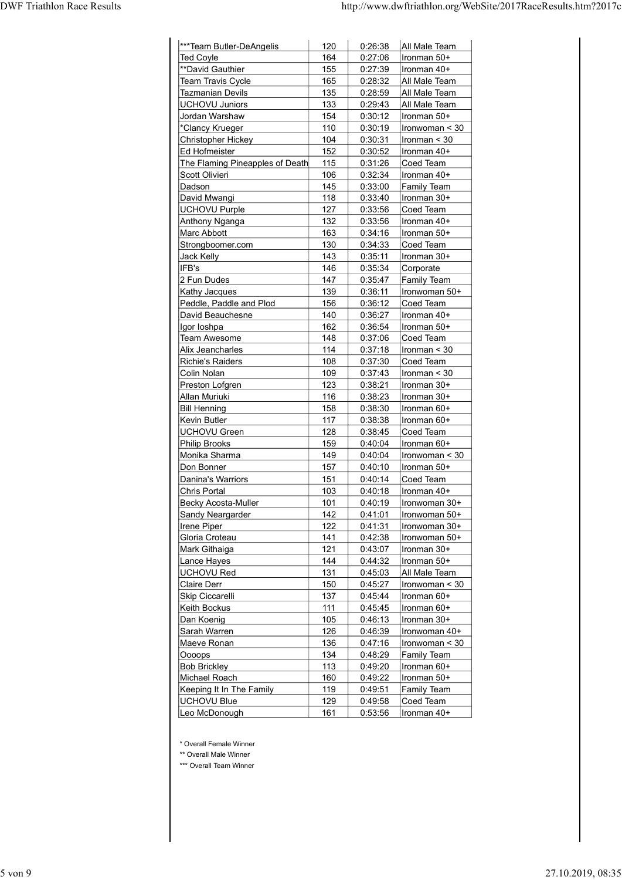| ***Team Butler-DeAngelis                |              |                    |                                    |
|-----------------------------------------|--------------|--------------------|------------------------------------|
|                                         | 120          | 0:26:38            | All Male Team                      |
| <b>Ted Coyle</b><br>**David Gauthier    | 164<br>155   | 0:27:06<br>0:27:39 | Ironman 50+<br>Ironman 40+         |
| Team Travis Cycle                       | 165          | 0:28:32            | All Male Team                      |
| <b>Tazmanian Devils</b>                 | 135          | 0:28:59            | All Male Team                      |
| <b>UCHOVU Juniors</b>                   | 133          | 0:29:43            | All Male Team                      |
| Jordan Warshaw<br>*Clancy Krueger       | 154<br>110   | 0:30:12<br>0:30:19 | Ironman 50+<br>$ $ Ironwoman < 30  |
| Christopher Hickey                      | 104          | 0:30:31            | $l$ ronman < 30                    |
| Ed Hofmeister                           | 152          | 0:30:52            | Ironman 40+                        |
| The Flaming Pineapples of Death         | 115          | 0:31:26            | Coed Team                          |
| Scott Olivieri<br>Dadson                | 106<br>145   | 0:32:34<br>0:33:00 | Ironman 40+                        |
| David Mwangi                            | 118          | 0:33:40            | Family Team<br>Ironman 30+         |
| <b>UCHOVU Purple</b>                    | 127          | 0:33:56            | Coed Team                          |
| Anthony Nganga                          | 132          | 0:33:56            | Ironman 40+                        |
| Marc Abbott                             | 163          | 0:34:16            | Ironman 50+                        |
| Strongboomer.com<br>Jack Kelly          | 130<br>143   | 0:34:33<br>0:35:11 | Coed Team<br>Ironman 30+           |
| IFB's                                   | 146          | 0:35:34            | Corporate                          |
| 2 Fun Dudes                             | 147          | 0:35:47            | Family Team                        |
| Kathy Jacques                           | 139          | 0:36:11            | Ironwoman 50+                      |
| Peddle, Paddle and Plod                 | 156          | 0:36:12<br>0:36:27 | Coed Team<br>Ironman 40+           |
| David Beauchesne<br>Igor Ioshpa         | 140<br>162   | 0:36:54            | Ironman 50+                        |
| Team Awesome                            | 148          | 0:37:06            | Coed Team                          |
| Alix Jeancharles                        | 114          | 0:37:18            | $ $ Ironman < 30                   |
| Richie's Raiders                        | 108          | 0:37:30            | Coed Team                          |
| Colin Nolan<br>Preston Lofgren          | 109<br>123   | 0:37:43<br>0:38:21 | $l$ ronman < 30<br>Ironman 30+     |
| Allan Muriuki                           | 116          | 0:38:23            | Ironman 30+                        |
| <b>Bill Henning</b>                     | 158          | 0:38:30            | Ironman 60+                        |
| Kevin Butler                            | 117          | 0:38:38            | Ironman 60+                        |
| UCHOVU Green<br>Philip Brooks           | 128<br>159   | 0:38:45<br>0:40:04 | Coed Team<br>Ironman 60+           |
| Monika Sharma                           | 149          | 0:40:04            | Ironwoman < 30                     |
| Don Bonner                              | 157          | 0:40:10            | Ironman 50+                        |
| Danina's Warriors                       | 151          | 0:40:14            | Coed Team                          |
| Chris Portal                            | 103          | 0:40:18            | Ironman 40+                        |
| Becky Acosta-Muller<br>Sandy Neargarder | $101$<br>142 | 0:40:19<br>0:41:01 | Ironwoman 30+<br>Ironwoman 50+     |
| Irene Piper                             | 122          | 0:41:31            | Ironwoman 30+                      |
| Gloria Croteau                          | 141          | 0:42:38            | Ironwoman 50+                      |
| Mark Githaiga                           | 121          | 0:43:07            | Ironman 30+                        |
| Lance Hayes                             | 144          | 0:44:32            | Ironman 50+                        |
| UCHOVU Red<br>Claire Derr               | 131<br>150   | 0:45:03<br>0:45:27 | All Male Team<br>Ironwoman < 30    |
| Skip Ciccarelli                         | 137          | 0:45:44            | Ironman 60+                        |
| Keith Bockus                            | 111          | 0:45:45            | Ironman 60+                        |
| Dan Koenig                              | 105          | 0:46:13            | Ironman 30+                        |
| Sarah Warren<br>Maeve Ronan             | 126<br>136   | 0:46:39<br>0:47:16 | Ironwoman 40+<br>$l$ ronwoman < 30 |
| Oooops                                  | 134          | 0:48:29            | Family Team                        |
| <b>Bob Brickley</b>                     | 113          | 0:49:20            | Ironman 60+                        |
| Michael Roach                           | 160          | 0:49:22            | Ironman 50+                        |
| Keeping It In The Family                | 119          | 0:49:51            | Family Team                        |
|                                         | 129          | 0:49:58            | Coed Team                          |
| UCHOVU Blue<br>Leo McDonough            | 161          | 0:53:56            | Ironman 40+                        |